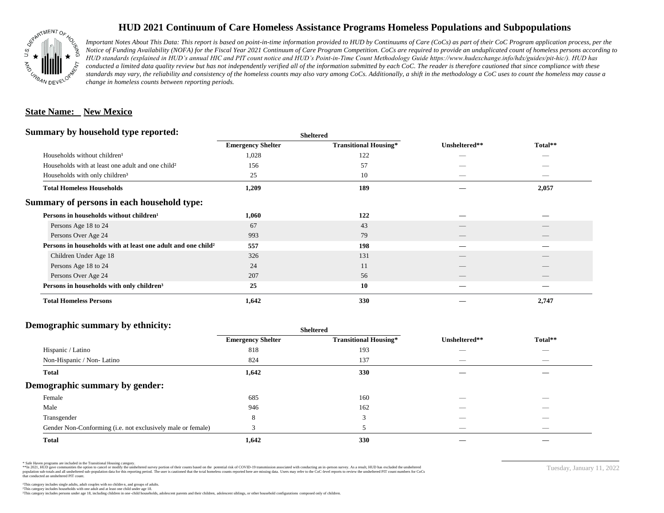

## **HUD 2021 Continuum of Care Homeless Assistance Programs Homeless Populations and Subpopulations**

*Important Notes About This Data: This report is based on point-in-time information provided to HUD by Continuums of Care (CoCs) as part of their CoC Program application process, per the Notice of Funding Availability (NOFA) for the Fiscal Year 2021 Continuum of Care Program Competition. CoCs are required to provide an unduplicated count of homeless persons according to HUD standards (explained in HUD's annual HIC and PIT count notice and HUD's Point-in-Time Count Methodology Guide https://www.hudexchange.info/hdx/guides/pit-hic/). HUD has*  conducted a limited data quality review but has not independently verified all of the information submitted by each CoC. The reader is therefore cautioned that since compliance with these standards may vary, the reliability and consistency of the homeless counts may also vary among CoCs. Additionally, a shift in the methodology a CoC uses to count the homeless may cause a *change in homeless counts between reporting periods.*

#### **State Name: New Mexico**

#### **Summary by household type reported:**

|                                                                          |                          | patter                       |                          |                                 |  |
|--------------------------------------------------------------------------|--------------------------|------------------------------|--------------------------|---------------------------------|--|
|                                                                          | <b>Emergency Shelter</b> | <b>Transitional Housing*</b> | Unsheltered**            | Total**                         |  |
| Households without children <sup>1</sup>                                 | 1,028                    | 122                          | _                        |                                 |  |
| Households with at least one adult and one child <sup>2</sup>            | 156                      | 57                           |                          |                                 |  |
| Households with only children <sup>3</sup>                               | 25                       | 10                           |                          | _                               |  |
| <b>Total Homeless Households</b>                                         | 1,209                    | 189                          |                          | 2,057                           |  |
| Summary of persons in each household type:                               |                          |                              |                          |                                 |  |
| Persons in households without children <sup>1</sup>                      | 1,060                    | 122                          |                          |                                 |  |
| Persons Age 18 to 24                                                     | 67                       | 43                           |                          |                                 |  |
| Persons Over Age 24                                                      | 993                      | 79                           | $\overline{\phantom{a}}$ | $\hspace{0.1mm}-\hspace{0.1mm}$ |  |
| Persons in households with at least one adult and one child <sup>2</sup> | 557                      | 198                          |                          |                                 |  |
| Children Under Age 18                                                    | 326                      | 131                          |                          |                                 |  |
| Persons Age 18 to 24                                                     | 24                       | 11                           |                          |                                 |  |
| Persons Over Age 24                                                      | 207                      | 56                           | __                       |                                 |  |
| Persons in households with only children <sup>3</sup>                    | 25                       | 10                           |                          |                                 |  |
| <b>Total Homeless Persons</b>                                            | 1,642                    | 330                          |                          | 2,747                           |  |
|                                                                          |                          |                              |                          |                                 |  |

**Sheltered**

### **Demographic summary by ethnicity:**

|                                                             | <b>Sheltered</b>         |                              |                          |                          |  |
|-------------------------------------------------------------|--------------------------|------------------------------|--------------------------|--------------------------|--|
|                                                             | <b>Emergency Shelter</b> | <b>Transitional Housing*</b> | Unsheltered**            | Total**                  |  |
| Hispanic / Latino                                           | 818                      | 193                          |                          | $\overline{\phantom{a}}$ |  |
| Non-Hispanic / Non-Latino                                   | 824                      | 137                          | __                       | $\overline{\phantom{a}}$ |  |
| <b>Total</b>                                                | 1,642                    | 330                          |                          |                          |  |
| Demographic summary by gender:                              |                          |                              |                          |                          |  |
| Female                                                      | 685                      | 160                          | _                        | _                        |  |
| Male                                                        | 946                      | 162                          |                          |                          |  |
| Transgender                                                 | 8                        | 3                            |                          |                          |  |
| Gender Non-Conforming (i.e. not exclusively male or female) |                          |                              | $\overline{\phantom{a}}$ | $\overline{\phantom{a}}$ |  |
| <b>Total</b>                                                | 1,642                    | 330                          |                          |                          |  |

\* Safe Haven programs are included in the Transitional Housing category.

\*\*In 2021, HUD gave communities the option to cancel or modify the unsheltered survey portion of their counts based on the potential risk of COVID-19 transmission associated with conducting an in-person survey. As a result n political data for this reporting period. The user is cautioned that the total homeless counts reported here are missing data. Users may refer to the CoC-level reports to review the unshellered PIT count numbers for CoCs that conducted an unsheltered PIT count.

Tuesday, January 11, 2022